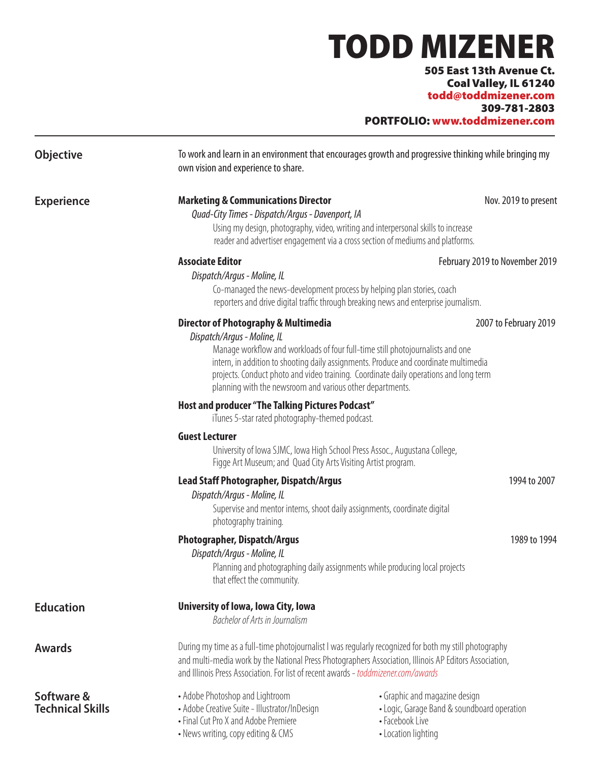# TODD MIZENER

505 East 13th Avenue Ct. Coal Valley, IL 61240 todd@toddmizener.com 309-781-2803

PORTFOLIO: www.toddmizener.com

| Objective                             | To work and learn in an environment that encourages growth and progressive thinking while bringing my<br>own vision and experience to share.                                                                                                                                                                                                                                                                                            |                                                                                                                        |
|---------------------------------------|-----------------------------------------------------------------------------------------------------------------------------------------------------------------------------------------------------------------------------------------------------------------------------------------------------------------------------------------------------------------------------------------------------------------------------------------|------------------------------------------------------------------------------------------------------------------------|
| <b>Experience</b>                     | <b>Marketing &amp; Communications Director</b><br>Nov. 2019 to present<br>Quad-City Times - Dispatch/Argus - Davenport, IA<br>Using my design, photography, video, writing and interpersonal skills to increase<br>reader and advertiser engagement via a cross section of mediums and platforms.                                                                                                                                       |                                                                                                                        |
|                                       | <b>Associate Editor</b><br>February 2019 to November 2019<br>Dispatch/Argus - Moline, IL<br>Co-managed the news-development process by helping plan stories, coach<br>reporters and drive digital traffic through breaking news and enterprise journalism.                                                                                                                                                                              |                                                                                                                        |
|                                       | <b>Director of Photography &amp; Multimedia</b><br>2007 to February 2019<br>Dispatch/Argus - Moline, IL<br>Manage workflow and workloads of four full-time still photojournalists and one<br>intern, in addition to shooting daily assignments. Produce and coordinate multimedia<br>projects. Conduct photo and video training. Coordinate daily operations and long term<br>planning with the newsroom and various other departments. |                                                                                                                        |
|                                       | Host and producer "The Talking Pictures Podcast"<br>iTunes 5-star rated photography-themed podcast.                                                                                                                                                                                                                                                                                                                                     |                                                                                                                        |
|                                       | <b>Guest Lecturer</b><br>University of Iowa SJMC, Iowa High School Press Assoc., Augustana College,<br>Figge Art Museum; and Quad City Arts Visiting Artist program.                                                                                                                                                                                                                                                                    |                                                                                                                        |
|                                       | <b>Lead Staff Photographer, Dispatch/Argus</b><br>1994 to 2007<br>Dispatch/Argus - Moline, IL<br>Supervise and mentor interns, shoot daily assignments, coordinate digital<br>photography training.                                                                                                                                                                                                                                     |                                                                                                                        |
|                                       | <b>Photographer, Dispatch/Argus</b><br>1989 to 1994<br>Dispatch/Argus - Moline, IL<br>Planning and photographing daily assignments while producing local projects<br>that effect the community.                                                                                                                                                                                                                                         |                                                                                                                        |
| <b>Education</b>                      | University of Iowa, Iowa City, Iowa<br>Bachelor of Arts in Journalism                                                                                                                                                                                                                                                                                                                                                                   |                                                                                                                        |
| <b>Awards</b>                         | During my time as a full-time photojournalist I was regularly recognized for both my still photography<br>and multi-media work by the National Press Photographers Association, Illinois AP Editors Association,<br>and Illinois Press Association. For list of recent awards - toddmizener.com/awards                                                                                                                                  |                                                                                                                        |
| Software &<br><b>Technical Skills</b> | • Adobe Photoshop and Lightroom<br>• Adobe Creative Suite - Illustrator/InDesign<br>• Final Cut Pro X and Adobe Premiere<br>• News writing, copy editing & CMS                                                                                                                                                                                                                                                                          | • Graphic and magazine design<br>• Logic, Garage Band & soundboard operation<br>• Facebook Live<br>• Location lighting |